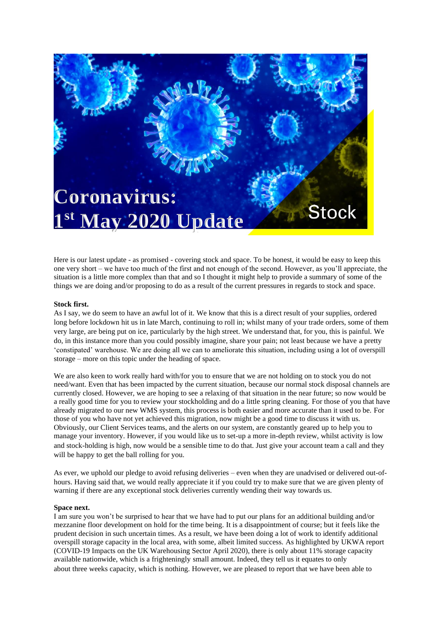

Here is our latest update - as promised - covering stock and space. To be honest, it would be easy to keep this one very short – we have too much of the first and not enough of the second. However, as you'll appreciate, the situation is a little more complex than that and so I thought it might help to provide a summary of some of the things we are doing and/or proposing to do as a result of the current pressures in regards to stock and space.

## **Stock first.**

As I say, we do seem to have an awful lot of it. We know that this is a direct result of your supplies, ordered long before lockdown hit us in late March, continuing to roll in; whilst many of your trade orders, some of them very large, are being put on ice, particularly by the high street. We understand that, for you, this is painful. We do, in this instance more than you could possibly imagine, share your pain; not least because we have a pretty 'constipated' warehouse. We are doing all we can to ameliorate this situation, including using a lot of overspill storage – more on this topic under the heading of space.

We are also keen to work really hard with/for you to ensure that we are not holding on to stock you do not need/want. Even that has been impacted by the current situation, because our normal stock disposal channels are currently closed. However, we are hoping to see a relaxing of that situation in the near future; so now would be a really good time for you to review your stockholding and do a little spring cleaning. For those of you that have already migrated to our new WMS system, this process is both easier and more accurate than it used to be. For those of you who have not yet achieved this migration, now might be a good time to discuss it with us. Obviously, our Client Services teams, and the alerts on our system, are constantly geared up to help you to manage your inventory. However, if you would like us to set-up a more in-depth review, whilst activity is low and stock-holding is high, now would be a sensible time to do that. Just give your account team a call and they will be happy to get the ball rolling for you.

As ever, we uphold our pledge to avoid refusing deliveries – even when they are unadvised or delivered out-ofhours. Having said that, we would really appreciate it if you could try to make sure that we are given plenty of warning if there are any exceptional stock deliveries currently wending their way towards us.

## **Space next.**

I am sure you won't be surprised to hear that we have had to put our plans for an additional building and/or mezzanine floor development on hold for the time being. It is a disappointment of course; but it feels like the prudent decision in such uncertain times. As a result, we have been doing a lot of work to identify additional overspill storage capacity in the local area, with some, albeit limited success. As highlighted by UKWA report (COVID-19 Impacts on the UK Warehousing Sector April 2020), there is only about 11% storage capacity available nationwide, which is a frighteningly small amount. Indeed, they tell us it equates to only about three weeks capacity, which is nothing. However, we are pleased to report that we have been able to